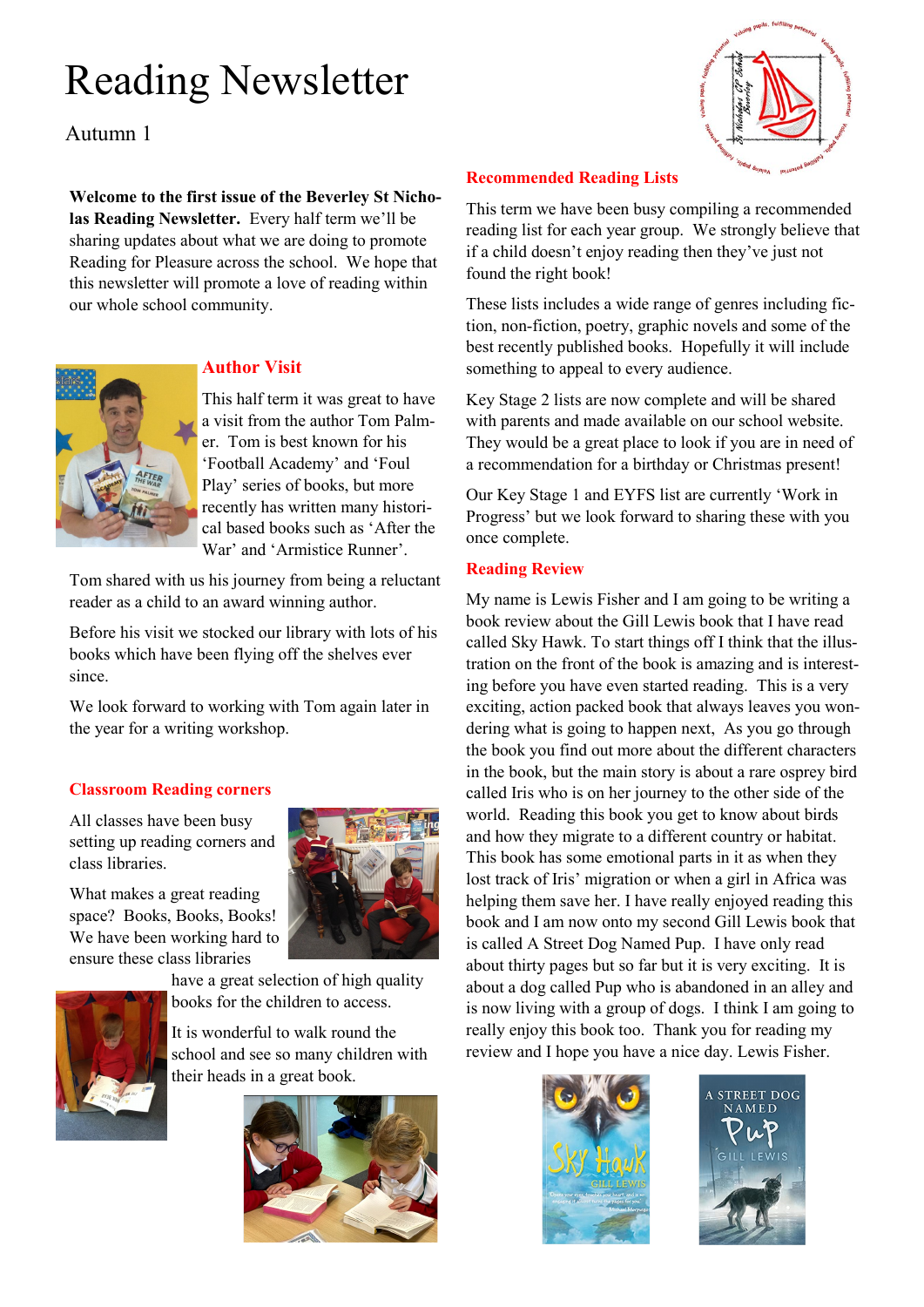# Reading Newsletter

Autumn 1

**Welcome to the first issue of the Beverley St Nicholas Reading Newsletter.** Every half term we'll be sharing updates about what we are doing to promote Reading for Pleasure across the school. We hope that this newsletter will promote a love of reading within our whole school community.



# **Author Visit**

This half term it was great to have a visit from the author Tom Palmer. Tom is best known for his 'Football Academy' and 'Foul Play' series of books, but more recently has written many historical based books such as 'After the War' and 'Armistice Runner'.

Tom shared with us his journey from being a reluctant reader as a child to an award winning author.

Before his visit we stocked our library with lots of his books which have been flying off the shelves ever since.

We look forward to working with Tom again later in the year for a writing workshop.

# **Classroom Reading corners**

All classes have been busy setting up reading corners and class libraries.

What makes a great reading space? Books, Books, Books! We have been working hard to ensure these class libraries



have a great selection of high quality books for the children to access.

It is wonderful to walk round the school and see so many children with their heads in a great book.





# **Recommended Reading Lists**

This term we have been busy compiling a recommended reading list for each year group. We strongly believe that if a child doesn't enjoy reading then they've just not found the right book!

These lists includes a wide range of genres including fiction, non-fiction, poetry, graphic novels and some of the best recently published books. Hopefully it will include something to appeal to every audience.

Key Stage 2 lists are now complete and will be shared with parents and made available on our school website. They would be a great place to look if you are in need of a recommendation for a birthday or Christmas present!

Our Key Stage 1 and EYFS list are currently 'Work in Progress' but we look forward to sharing these with you once complete.

# **Reading Review**

My name is Lewis Fisher and I am going to be writing a book review about the Gill Lewis book that I have read called Sky Hawk. To start things off I think that the illustration on the front of the book is amazing and is interesting before you have even started reading. This is a very exciting, action packed book that always leaves you wondering what is going to happen next, As you go through the book you find out more about the different characters in the book, but the main story is about a rare osprey bird called Iris who is on her journey to the other side of the world. Reading this book you get to know about birds and how they migrate to a different country or habitat. This book has some emotional parts in it as when they lost track of Iris' migration or when a girl in Africa was helping them save her. I have really enjoyed reading this book and I am now onto my second Gill Lewis book that is called A Street Dog Named Pup. I have only read about thirty pages but so far but it is very exciting. It is about a dog called Pup who is abandoned in an alley and is now living with a group of dogs. I think I am going to really enjoy this book too. Thank you for reading my review and I hope you have a nice day. Lewis Fisher.